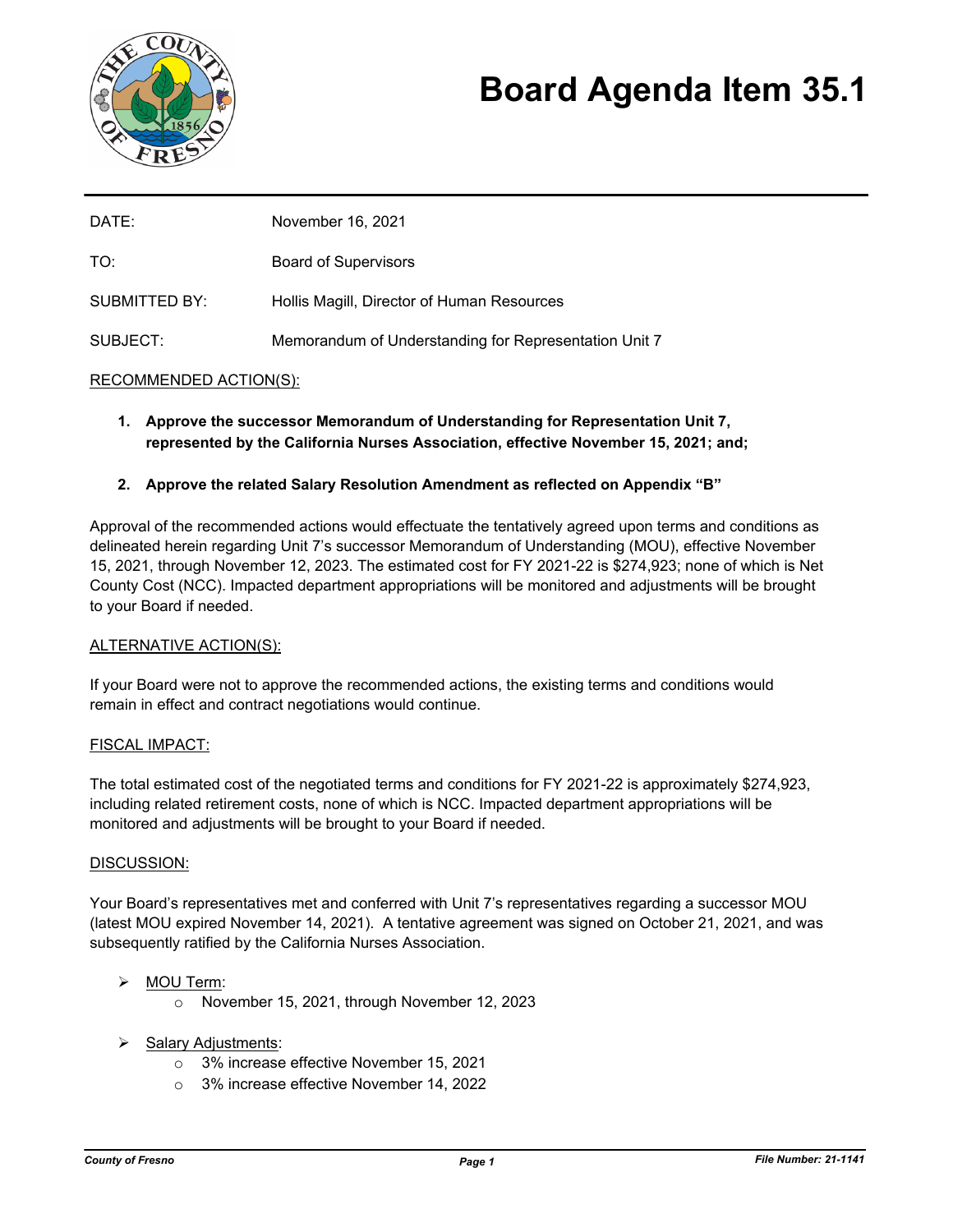

# **Board Agenda Item 35.1**

| DATE:                | November 16, 2021                                     |
|----------------------|-------------------------------------------------------|
| TO:                  | <b>Board of Supervisors</b>                           |
| <b>SUBMITTED BY:</b> | Hollis Magill, Director of Human Resources            |
| SUBJECT:             | Memorandum of Understanding for Representation Unit 7 |

## RECOMMENDED ACTION(S):

- **1. Approve the successor Memorandum of Understanding for Representation Unit 7, represented by the California Nurses Association, effective November 15, 2021; and;**
- **2. Approve the related Salary Resolution Amendment as reflected on Appendix "B"**

Approval of the recommended actions would effectuate the tentatively agreed upon terms and conditions as delineated herein regarding Unit 7's successor Memorandum of Understanding (MOU), effective November 15, 2021, through November 12, 2023. The estimated cost for FY 2021-22 is \$274,923; none of which is Net County Cost (NCC). Impacted department appropriations will be monitored and adjustments will be brought to your Board if needed.

### ALTERNATIVE ACTION(S):

If your Board were not to approve the recommended actions, the existing terms and conditions would remain in effect and contract negotiations would continue.

### FISCAL IMPACT:

The total estimated cost of the negotiated terms and conditions for FY 2021-22 is approximately \$274,923, including related retirement costs, none of which is NCC. Impacted department appropriations will be monitored and adjustments will be brought to your Board if needed.

### DISCUSSION:

Your Board's representatives met and conferred with Unit 7's representatives regarding a successor MOU (latest MOU expired November 14, 2021). A tentative agreement was signed on October 21, 2021, and was subsequently ratified by the California Nurses Association.

### MOU Term:

- o November 15, 2021, through November 12, 2023
- $\triangleright$  Salary Adjustments:
	- o 3% increase effective November 15, 2021
	- o 3% increase effective November 14, 2022